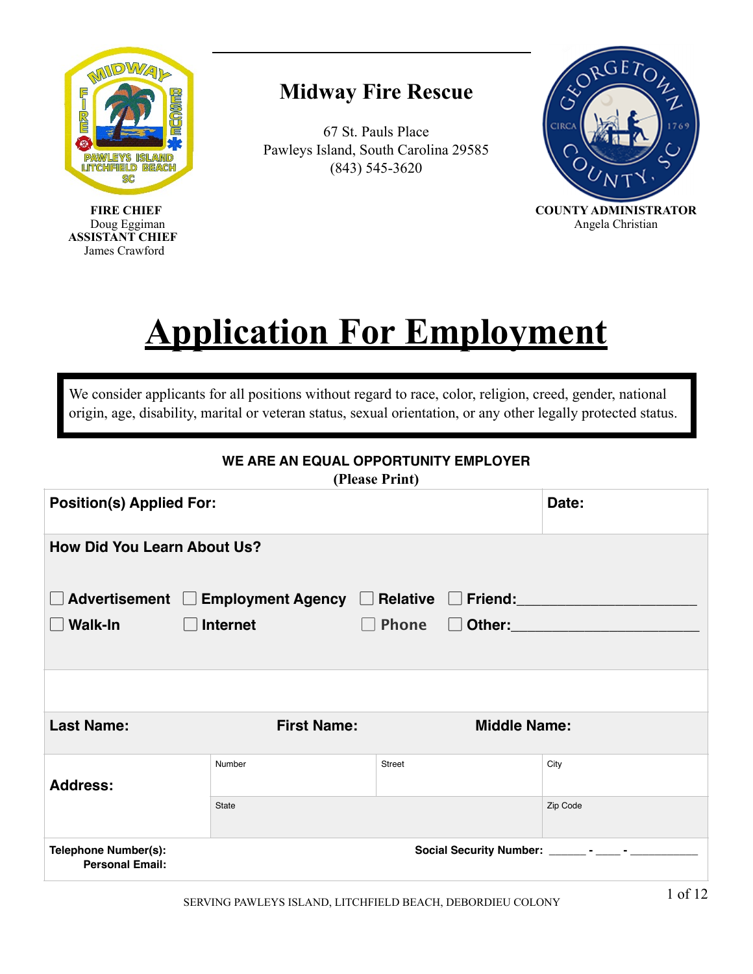

#### **Midway Fire Rescue**

67 St. Pauls Place Pawleys Island, South Carolina 29585 (843) 545-3620



# **Application For Employment**

We consider applicants for all positions without regard to race, color, religion, creed, gender, national origin, age, disability, marital or veteran status, sexual orientation, or any other legally protected status.

| WE ARE AN EQUAL OPPORTUNITY EMPLOYER<br>(Please Print) |                                                        |                                         |          |  |
|--------------------------------------------------------|--------------------------------------------------------|-----------------------------------------|----------|--|
|                                                        | <b>Position(s) Applied For:</b><br>Date:               |                                         |          |  |
| <b>How Did You Learn About Us?</b>                     |                                                        |                                         |          |  |
|                                                        | Advertisement □ Employment Agency □ Relative □ Friend: |                                         |          |  |
| Walk-In                                                | <b>Internet</b>                                        | <b>Phone</b><br>□ Other: <u>_______</u> |          |  |
|                                                        |                                                        |                                         |          |  |
|                                                        |                                                        |                                         |          |  |
| <b>Last Name:</b>                                      | <b>First Name:</b>                                     | <b>Middle Name:</b>                     |          |  |
| <b>Address:</b>                                        | Number                                                 | <b>Street</b>                           | City     |  |
|                                                        | State                                                  |                                         | Zip Code |  |
| <b>Telephone Number(s):</b><br><b>Personal Email:</b>  |                                                        |                                         |          |  |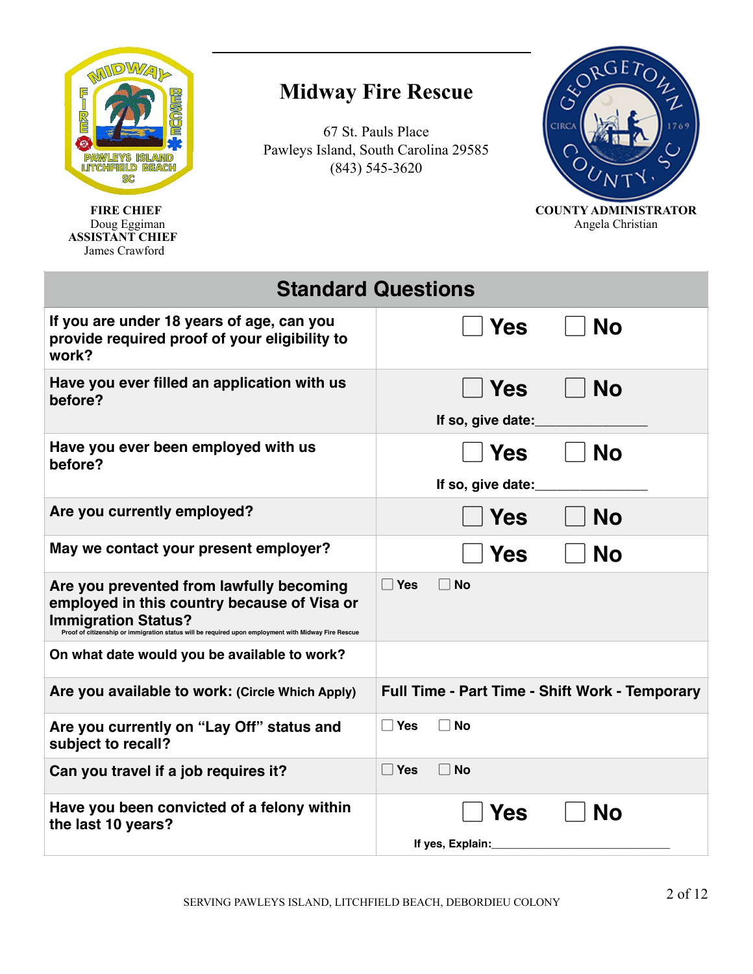

# **Midway Fire Rescue**

67 St. Pauls Place Pawleys Island, South Carolina 29585 (843) 545-3620



**FIRE CHIEF** COUNTY ADMINISTRATOR<br>Doug Eggiman Angela Christian Angela Christian

|                                                                                                                                                                                                              | <b>Standard Questions</b>                             |
|--------------------------------------------------------------------------------------------------------------------------------------------------------------------------------------------------------------|-------------------------------------------------------|
| If you are under 18 years of age, can you<br>provide required proof of your eligibility to<br>work?                                                                                                          | <b>No</b><br><b>Yes</b>                               |
| Have you ever filled an application with us<br>before?                                                                                                                                                       | <b>No</b><br>l Yes<br>If so, give date:               |
| Have you ever been employed with us<br>before?                                                                                                                                                               | <b>Yes</b><br><b>No</b><br>If so, give date:          |
| Are you currently employed?                                                                                                                                                                                  | <b>No</b><br><b>Yes</b>                               |
| May we contact your present employer?                                                                                                                                                                        | <b>No</b><br><b>Yes</b>                               |
| Are you prevented from lawfully becoming<br>employed in this country because of Visa or<br><b>Immigration Status?</b><br>ship or immigration status will be required upon employment with Midway Fire Rescue | $\Box$ Yes<br><b>No</b>                               |
| On what date would you be available to work?                                                                                                                                                                 |                                                       |
| Are you available to work: (Circle Which Apply)                                                                                                                                                              | <b>Full Time - Part Time - Shift Work - Temporary</b> |
| Are you currently on "Lay Off" status and<br>subject to recall?                                                                                                                                              | $\Box$ Yes<br>No                                      |
| Can you travel if a job requires it?                                                                                                                                                                         | $\Box$ Yes<br>$\sqcap$ No                             |
| Have you been convicted of a felony within<br>the last 10 years?                                                                                                                                             | <b>No</b><br>Yes<br>If yes, Explain:                  |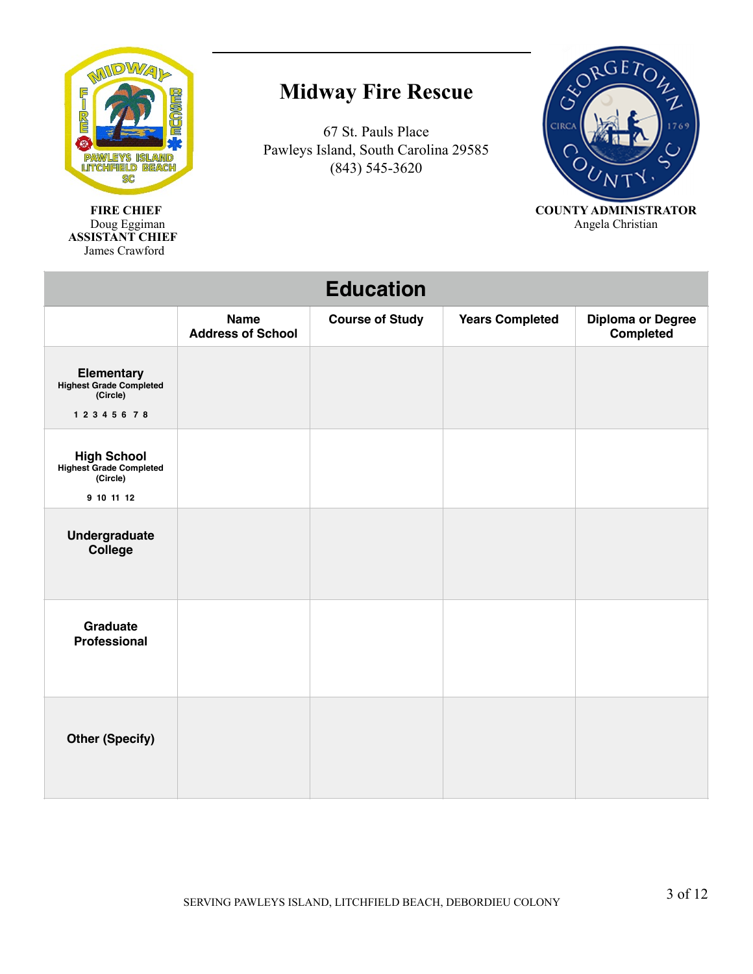

**FIRE CHIEF** COUNTY ADMINISTRATOR<br>Doug Eggiman Angela Christian Doug Eggiman and a structure of the structure of the structure of the Angela Christian and Angela Christian  **ASSISTANT CHIEF**  James Crawford

# **Midway Fire Rescue**



| <b>Education</b>                                                        |                                         |                        |                        |                                       |
|-------------------------------------------------------------------------|-----------------------------------------|------------------------|------------------------|---------------------------------------|
|                                                                         | <b>Name</b><br><b>Address of School</b> | <b>Course of Study</b> | <b>Years Completed</b> | <b>Diploma or Degree</b><br>Completed |
| <b>Elementary</b><br>Highest Grade Completed<br>(Circle)<br>12345678    |                                         |                        |                        |                                       |
| <b>High School</b><br>Highest Grade Completed<br>(Circle)<br>9 10 11 12 |                                         |                        |                        |                                       |
| <b>Undergraduate</b><br>College                                         |                                         |                        |                        |                                       |
| Graduate<br><b>Professional</b>                                         |                                         |                        |                        |                                       |
| <b>Other (Specify)</b>                                                  |                                         |                        |                        |                                       |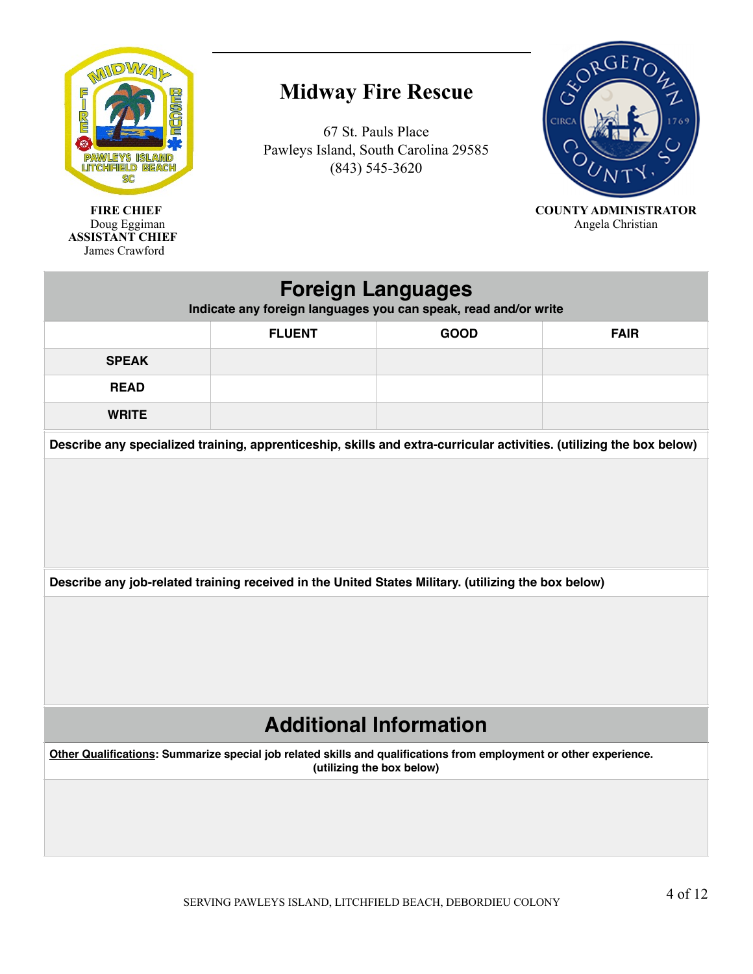

# **Midway Fire Rescue**

67 St. Pauls Place Pawleys Island, South Carolina 29585 (843) 545-3620



**FIRE CHIEF** COUNTY ADMINISTRATOR<br>Doug Eggiman Angela Christian Angela Christian

| <b>Foreign Languages</b><br>Indicate any foreign languages you can speak, read and/or write                                                     |               |                                                                                                                      |             |  |  |
|-------------------------------------------------------------------------------------------------------------------------------------------------|---------------|----------------------------------------------------------------------------------------------------------------------|-------------|--|--|
|                                                                                                                                                 | <b>FLUENT</b> | <b>GOOD</b>                                                                                                          | <b>FAIR</b> |  |  |
| <b>SPEAK</b>                                                                                                                                    |               |                                                                                                                      |             |  |  |
| <b>READ</b>                                                                                                                                     |               |                                                                                                                      |             |  |  |
| <b>WRITE</b>                                                                                                                                    |               |                                                                                                                      |             |  |  |
|                                                                                                                                                 |               | Describe any specialized training, apprenticeship, skills and extra-curricular activities. (utilizing the box below) |             |  |  |
|                                                                                                                                                 |               |                                                                                                                      |             |  |  |
| Describe any job-related training received in the United States Military. (utilizing the box below)                                             |               |                                                                                                                      |             |  |  |
|                                                                                                                                                 |               |                                                                                                                      |             |  |  |
| <b>Additional Information</b>                                                                                                                   |               |                                                                                                                      |             |  |  |
| Other Qualifications: Summarize special job related skills and qualifications from employment or other experience.<br>(utilizing the box below) |               |                                                                                                                      |             |  |  |
|                                                                                                                                                 |               |                                                                                                                      |             |  |  |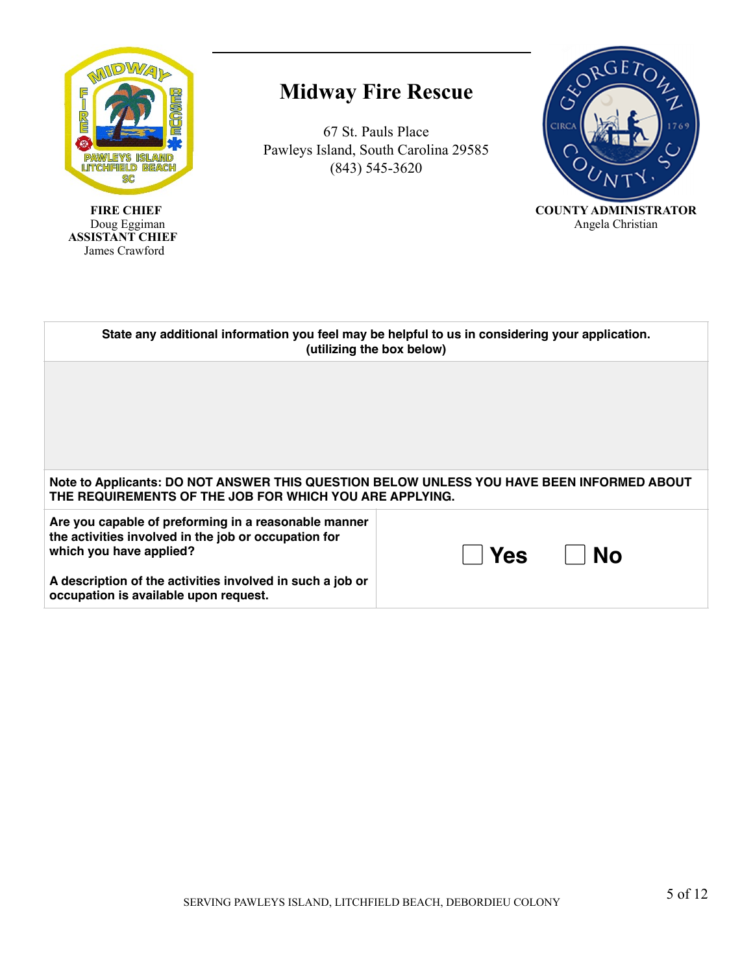

#### **Midway Fire Rescue**



| State any additional information you feel may be helpful to us in considering your application.<br>(utilizing the box below)                         |                  |  |
|------------------------------------------------------------------------------------------------------------------------------------------------------|------------------|--|
|                                                                                                                                                      |                  |  |
|                                                                                                                                                      |                  |  |
|                                                                                                                                                      |                  |  |
| Note to Applicants: DO NOT ANSWER THIS QUESTION BELOW UNLESS YOU HAVE BEEN INFORMED ABOUT<br>THE REQUIREMENTS OF THE JOB FOR WHICH YOU ARE APPLYING. |                  |  |
| Are you capable of preforming in a reasonable manner<br>the activities involved in the job or occupation for<br>which you have applied?              | No<br><b>Yes</b> |  |
| A description of the activities involved in such a job or<br>occupation is available upon request.                                                   |                  |  |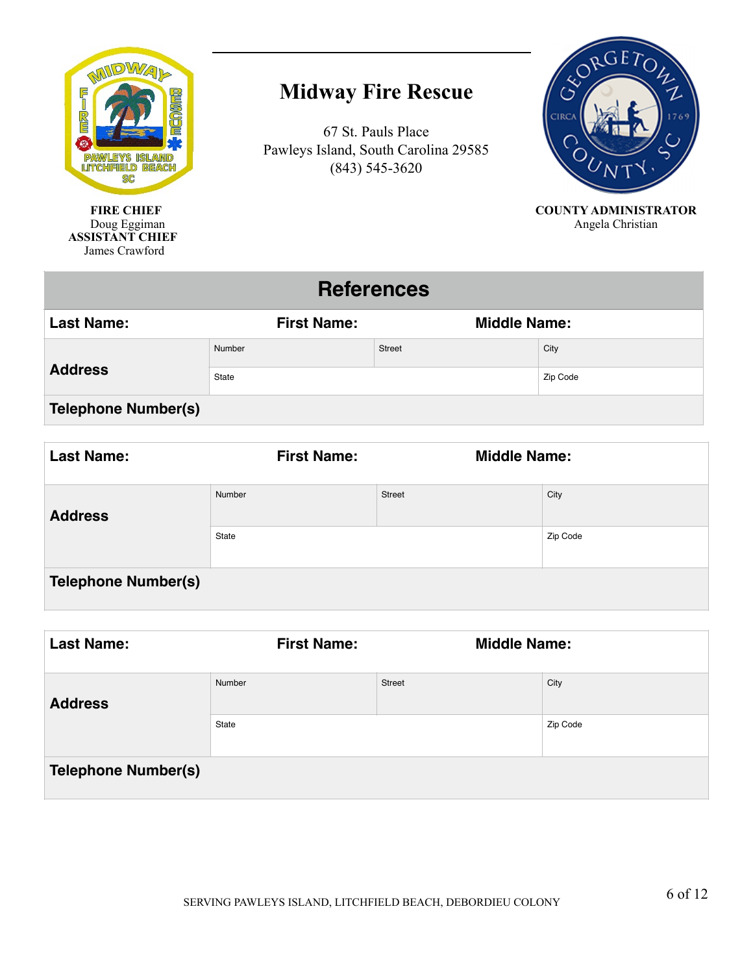

## **Midway Fire Rescue**

67 St. Pauls Place Pawleys Island, South Carolina 29585 (843) 545-3620



**FIRE CHIEF COUNTY ADMINISTRATOR**<br>Doug Eggiman Angela Christian Angela Christian

#### **References**

| <b>Last Name:</b>          | <b>First Name:</b> | <b>Middle Name:</b> |          |
|----------------------------|--------------------|---------------------|----------|
| <b>Address</b>             | Number             | <b>Street</b>       | City     |
|                            | State              |                     | Zip Code |
| <b>Telephone Number(s)</b> |                    |                     |          |

| <b>Last Name:</b>          | <b>First Name:</b> | <b>Middle Name:</b> |          |
|----------------------------|--------------------|---------------------|----------|
| <b>Address</b>             | Number             | Street              | City     |
|                            | State              |                     | Zip Code |
| <b>Telephone Number(s)</b> |                    |                     |          |

| <b>Last Name:</b>          | <b>First Name:</b> | <b>Middle Name:</b> |          |
|----------------------------|--------------------|---------------------|----------|
| <b>Address</b>             | Number             | Street              | City     |
|                            | State              |                     | Zip Code |
| <b>Telephone Number(s)</b> |                    |                     |          |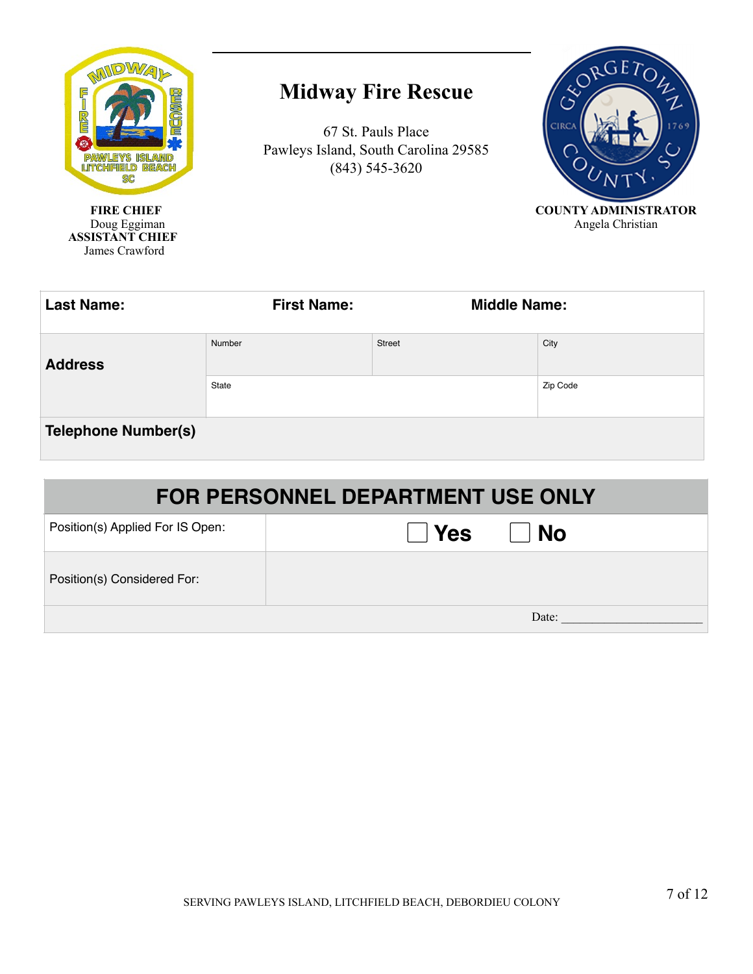

### **Midway Fire Rescue**



| <b>Last Name:</b>          | <b>First Name:</b><br><b>Middle Name:</b> |               |          |
|----------------------------|-------------------------------------------|---------------|----------|
| <b>Address</b>             | Number                                    | <b>Street</b> | City     |
|                            | State                                     |               | Zip Code |
| <b>Telephone Number(s)</b> |                                           |               |          |

| <b>FOR PERSONNEL DEPARTMENT USE ONLY</b> |                       |  |  |
|------------------------------------------|-----------------------|--|--|
| Position(s) Applied For IS Open:         | $\vert$ Yes<br>    No |  |  |
| Position(s) Considered For:              |                       |  |  |
| Date:                                    |                       |  |  |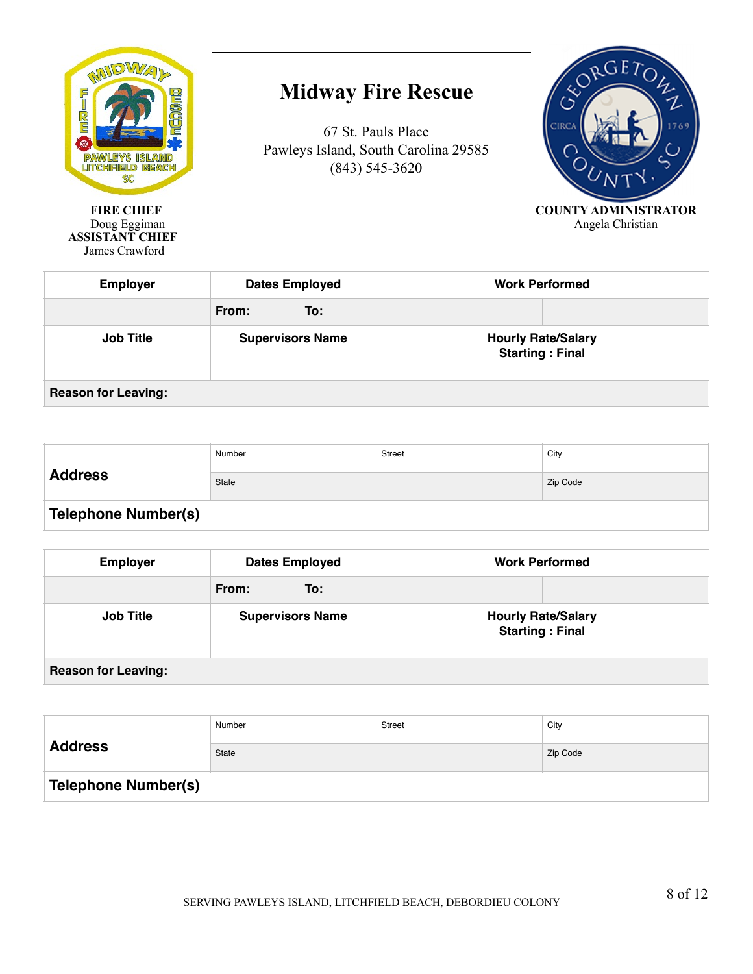

# **Midway Fire Rescue**



| <b>Employer</b>            | <b>Dates Employed</b>   | <b>Work Performed</b>                               |  |
|----------------------------|-------------------------|-----------------------------------------------------|--|
|                            | From:<br>To:            |                                                     |  |
| <b>Job Title</b>           | <b>Supervisors Name</b> | <b>Hourly Rate/Salary</b><br><b>Starting: Final</b> |  |
| <b>Reason for Leaving:</b> |                         |                                                     |  |

| <b>Address</b>             | Number       | Street | City     |
|----------------------------|--------------|--------|----------|
|                            | <b>State</b> |        | Zip Code |
| <b>Telephone Number(s)</b> |              |        |          |

| <b>Employer</b>            | <b>Dates Employed</b>   | <b>Work Performed</b>                               |  |
|----------------------------|-------------------------|-----------------------------------------------------|--|
|                            | From:<br>To:            |                                                     |  |
| <b>Job Title</b>           | <b>Supervisors Name</b> | <b>Hourly Rate/Salary</b><br><b>Starting: Final</b> |  |
| <b>Reason for Leaving:</b> |                         |                                                     |  |

| <b>Address</b>             | Number | <b>Street</b> | City     |
|----------------------------|--------|---------------|----------|
|                            | State  |               | Zip Code |
| <b>Telephone Number(s)</b> |        |               |          |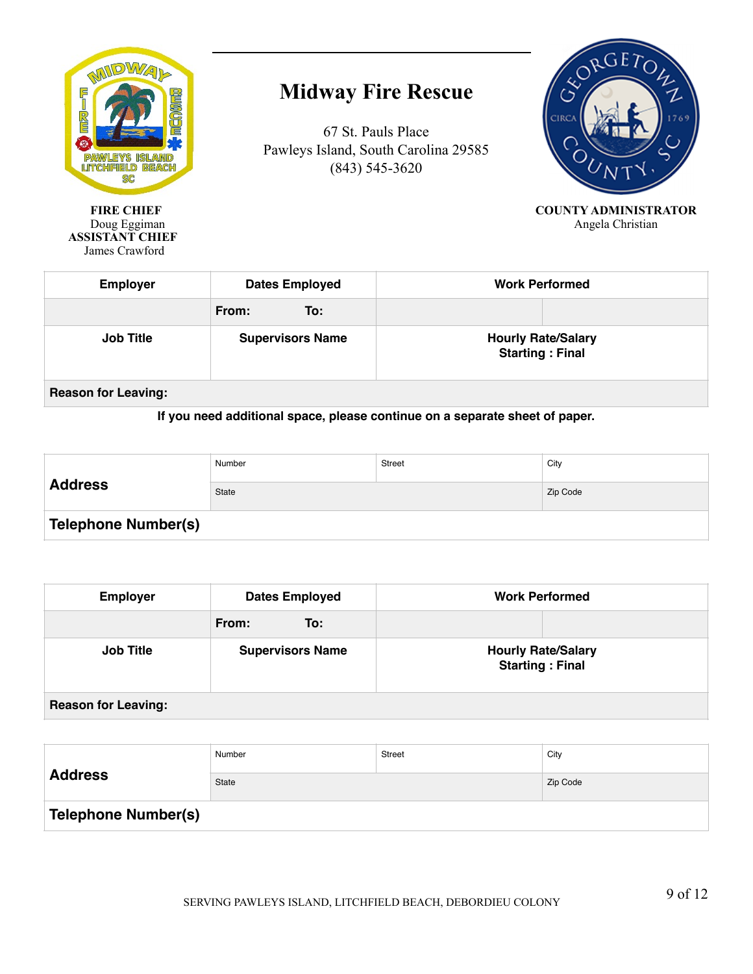

# **Midway Fire Rescue**

67 St. Pauls Place Pawleys Island, South Carolina 29585 (843) 545-3620



**FIRE CHIEF COUNTY ADMINISTRATOR**<br>Doug Eggiman Angela Christian Angela Christian

| <b>Employer</b>            | <b>Dates Employed</b>   | <b>Work Performed</b>                               |  |
|----------------------------|-------------------------|-----------------------------------------------------|--|
|                            | From:<br>To:            |                                                     |  |
| <b>Job Title</b>           | <b>Supervisors Name</b> | <b>Hourly Rate/Salary</b><br><b>Starting: Final</b> |  |
| <b>Reason for Leaving:</b> |                         |                                                     |  |

#### **If you need additional space, please continue on a separate sheet of paper.**

| <b>Address</b>             | Number | Street | City     |
|----------------------------|--------|--------|----------|
|                            | State  |        | Zip Code |
| <b>Telephone Number(s)</b> |        |        |          |

| <b>Employer</b>            | <b>Dates Employed</b>   | <b>Work Performed</b>                               |  |
|----------------------------|-------------------------|-----------------------------------------------------|--|
|                            | From:<br>To:            |                                                     |  |
| <b>Job Title</b>           | <b>Supervisors Name</b> | <b>Hourly Rate/Salary</b><br><b>Starting: Final</b> |  |
| <b>Reason for Leaving:</b> |                         |                                                     |  |

| <b>Address</b>      | Number       | <b>Street</b> | City     |
|---------------------|--------------|---------------|----------|
|                     | <b>State</b> |               | Zip Code |
| Telephone Number(s) |              |               |          |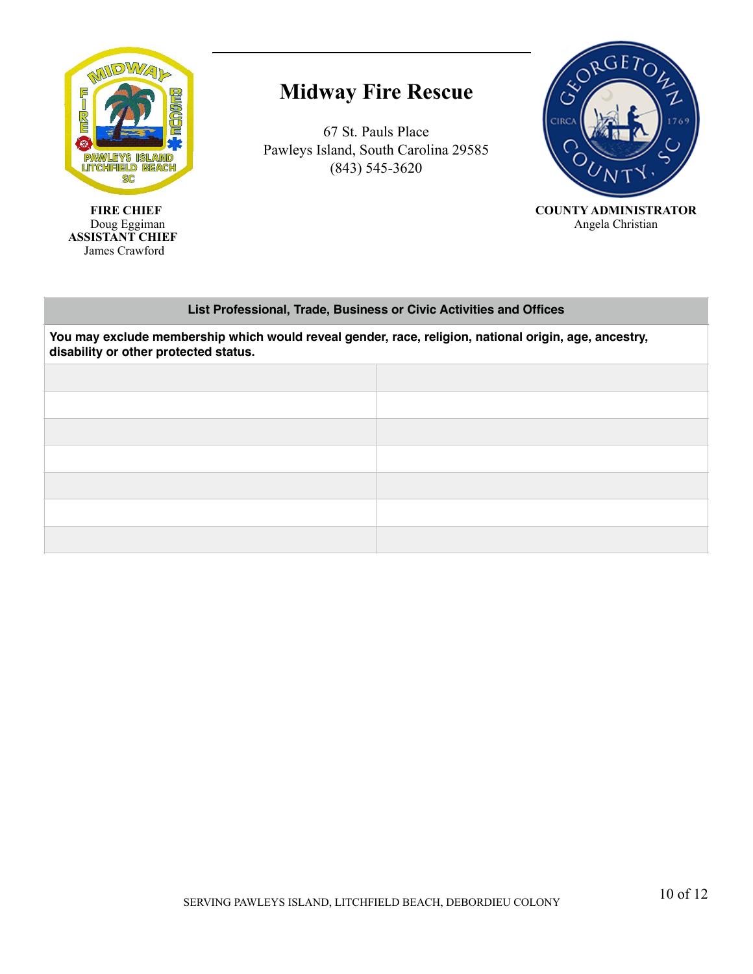

#### **Midway Fire Rescue**

67 St. Pauls Place Pawleys Island, South Carolina 29585 (843) 545-3620



Doug Eggiman Angela Christian Angela Christian

#### **List Professional, Trade, Business or Civic Activities and Offices**

**You may exclude membership which would reveal gender, race, religion, national origin, age, ancestry, disability or other protected status.**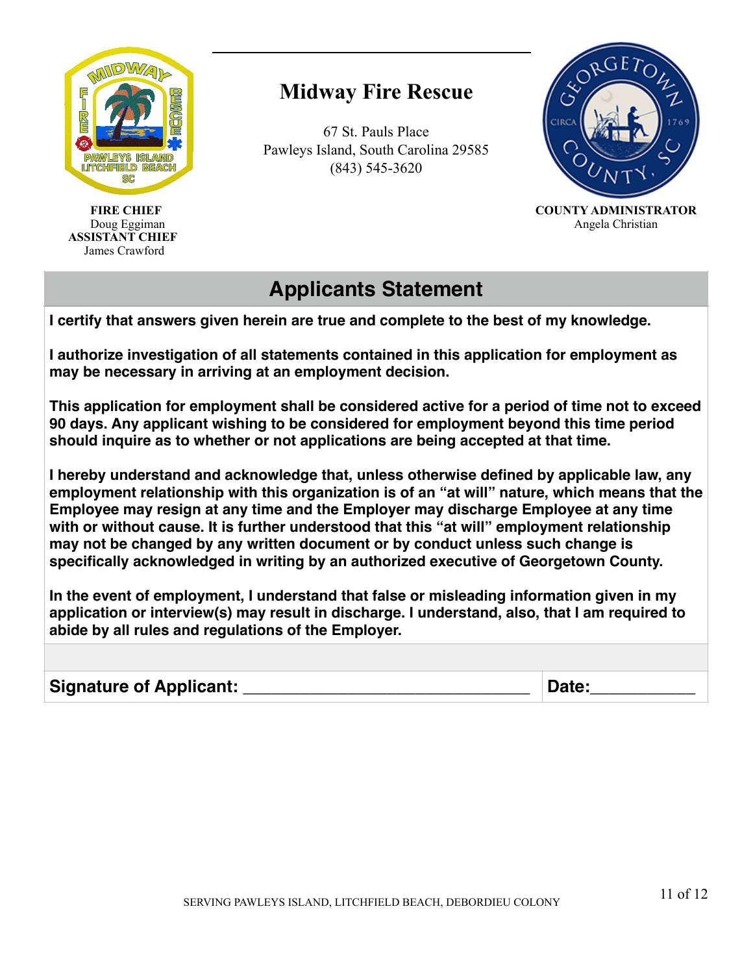

 **ASSISTANT CHIEF**  James Crawford

# **Midway Fire Rescue**

67 St. Pauls Place Pawleys Island, South Carolina 29585 (843) 545-3620



 **FIRE CHIEF COUNTY ADMINISTRATOR** Doug Eggiman Angela Christian Angela Christian

#### **Applicants Statement**

**I certify that answers given herein are true and complete to the best of my knowledge.** 

**I authorize investigation of all statements contained in this application for employment as may be necessary in arriving at an employment decision.**

**This application for employment shall be considered active for a period of time not to exceed 90 days. Any applicant wishing to be considered for employment beyond this time period should inquire as to whether or not applications are being accepted at that time.**

**I hereby understand and acknowledge that, unless otherwise defined by applicable law, any employment relationship with this organization is of an "at will" nature, which means that the Employee may resign at any time and the Employer may discharge Employee at any time with or without cause. It is further understood that this "at will" employment relationship may not be changed by any written document or by conduct unless such change is specifically acknowledged in writing by an authorized executive of Georgetown County.**

**In the event of employment, I understand that false or misleading information given in my application or interview(s) may result in discharge. I understand, also, that I am required to abide by all rules and regulations of the Employer.**

Signature of Applicant: \_\_\_\_\_\_\_\_\_\_\_\_\_\_\_\_\_\_\_\_\_\_\_\_\_\_\_\_\_\_\_\_\_\_ Date: